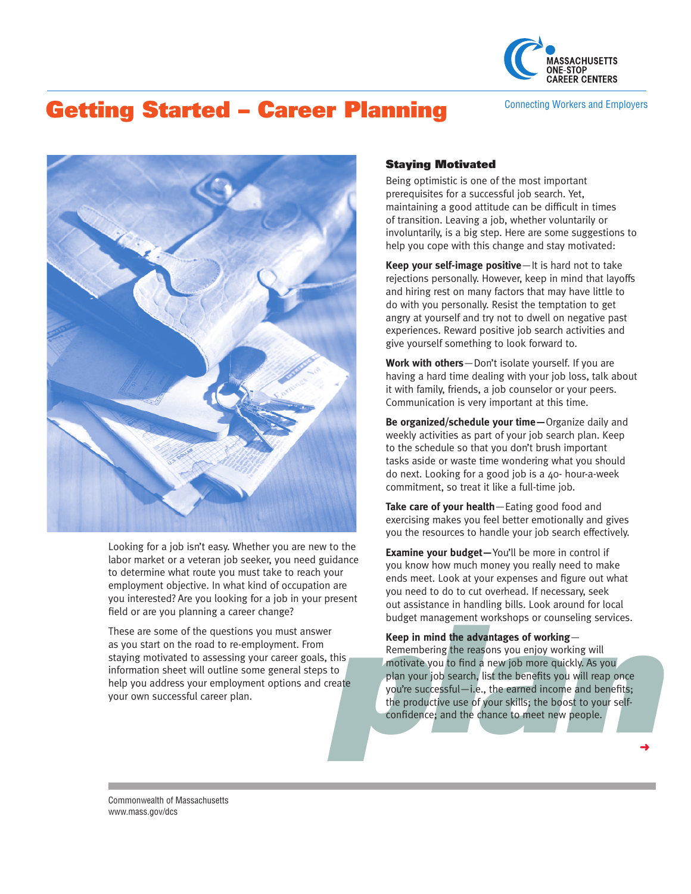

# Getting Started – Career Planning Connecting Workers and Employers



Looking for a job isn't easy. Whether you are new to the labor market or a veteran job seeker, you need guidance to determine what route you must take to reach your employment objective. In what kind of occupation are you interested? Are you looking for a job in your present field or are you planning a career change?

These are some of the questions you must answer as you start on the road to re-employment. From staying motivated to assessing your career goals, this information sheet will outline some general steps to help you address your employment options and create your own successful career plan.

## Staying Motivated

Being optimistic is one of the most important prerequisites for a successful job search. Yet, maintaining a good attitude can be difficult in times of transition. Leaving a job, whether voluntarily or involuntarily, is a big step. Here are some suggestions to help you cope with this change and stay motivated:

**Keep your self-image positive**—It is hard not to take rejections personally. However, keep in mind that layoffs and hiring rest on many factors that may have little to do with you personally. Resist the temptation to get angry at yourself and try not to dwell on negative past experiences. Reward positive job search activities and give yourself something to look forward to.

**Work with others**—Don't isolate yourself. If you are having a hard time dealing with your job loss, talk about it with family, friends, a job counselor or your peers. Communication is very important at this time.

**Be organized/schedule your time—**Organize daily and weekly activities as part of your job search plan. Keep to the schedule so that you don't brush important tasks aside or waste time wondering what you should do next. Looking for a good job is a 40- hour-a-week commitment, so treat it like a full-time job.

**Take care of your health**—Eating good food and exercising makes you feel better emotionally and gives you the resources to handle your job search effectively.

**Examine your budget—**You'll be more in control if you know how much money you really need to make ends meet. Look at your expenses and figure out what you need to do to cut overhead. If necessary, seek out assistance in handling bills. Look around for local budget management workshops or counseling services.

budget management workshops or counseling services.<br> **Keep in mind the advantages of working**—<br> **his**<br> **plan plane the reasons** you enjoy working will<br> **plane you** to find a new job more quickly. As you<br> **plane you're s Keep in mind the advantages of working**— Remembering the reasons you enjoy working will motivate you to find a new job more quickly. As you plan your job search, list the benefits you will reap once you're successful—i.e., the earned income and benefits; the productive use of your skills; the boost to your selfconfidence; and the chance to meet new people.